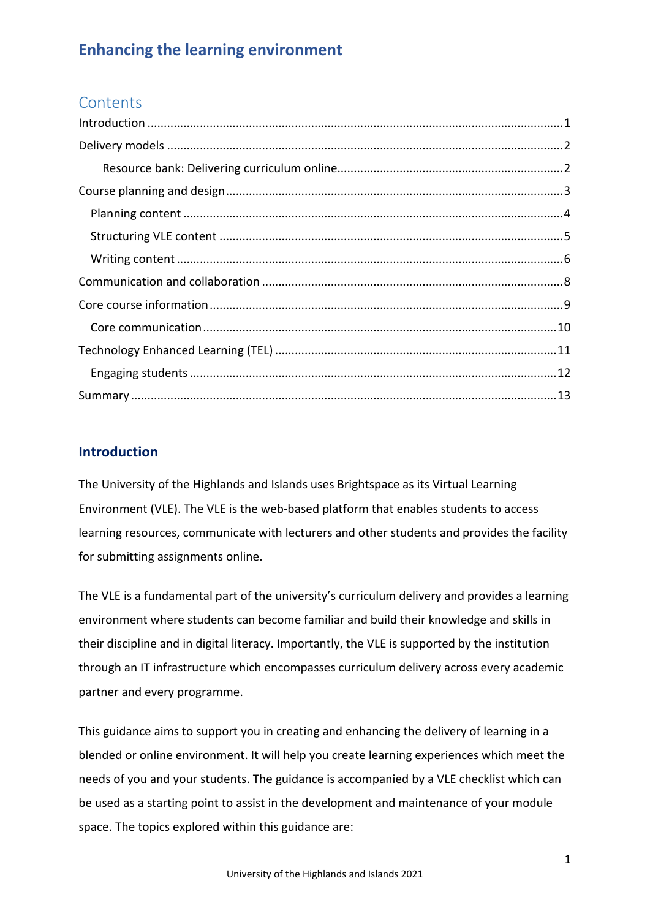## **Contents**

### <span id="page-0-0"></span>**Introduction**

The University of the Highlands and Islands uses Brightspace as its Virtual Learning Environment (VLE). The VLE is the web-based platform that enables students to access learning resources, communicate with lecturers and other students and provides the facility for submitting assignments online.

The VLE is a fundamental part of the university's curriculum delivery and provides a learning environment where students can become familiar and build their knowledge and skills in their discipline and in digital literacy. Importantly, the VLE is supported by the institution through an IT infrastructure which encompasses curriculum delivery across every academic partner and every programme.

This guidance aims to support you in creating and enhancing the delivery of learning in a blended or online environment. It will help you create learning experiences which meet the needs of you and your students. The guidance is accompanied by a VLE checklist which can be used as a starting point to assist in the development and maintenance of your module space. The topics explored within this guidance are: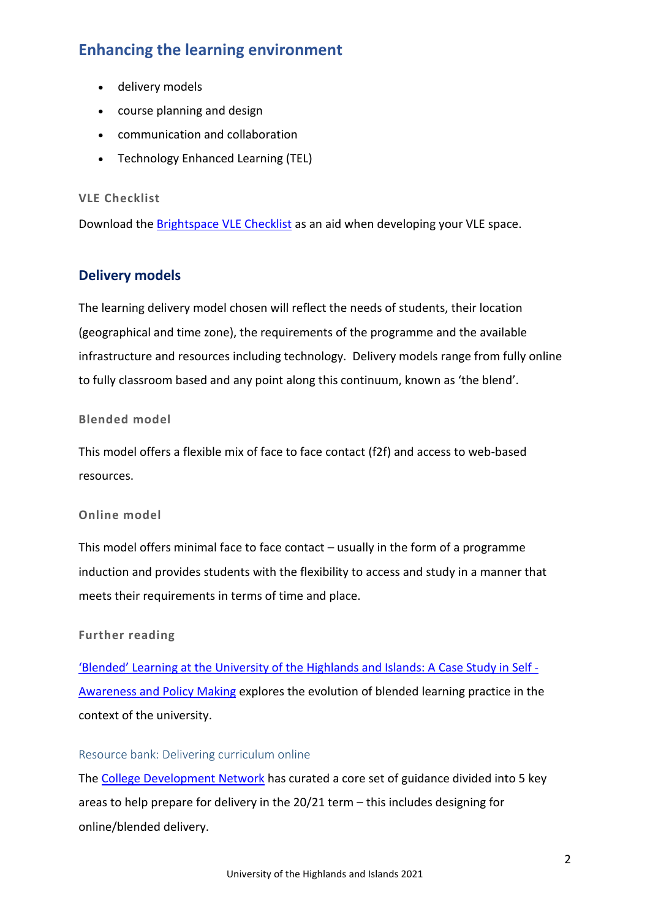- delivery models
- course planning and design
- communication and collaboration
- Technology Enhanced Learning (TEL)

### **VLE Checklist**

Download the [Brightspace VLE Checklist](http://staffresources.uhi.ac.uk/support_portal/resources/enhancing-learning-environment/Brightspace-VLE-Checklist.docx) as an aid when developing your VLE space.

## <span id="page-1-0"></span>**Delivery models**

The learning delivery model chosen will reflect the needs of students, their location (geographical and time zone), the requirements of the programme and the available infrastructure and resources including technology. Delivery models range from fully online to fully classroom based and any point along this continuum, known as 'the blend'.

#### **Blended model**

This model offers a flexible mix of face to face contact (f2f) and access to web-based resources.

### **Online model**

This model offers minimal face to face contact – usually in the form of a programme induction and provides students with the flexibility to access and study in a manner that meets their requirements in terms of time and place.

### **Further reading**

['Blended' Learning at the University of the Highlands and Islands: A Case Study in Self -](http://jpaap.napier.ac.uk/index.php/JPAAP/article/download/149/pdf) [Awareness and Policy Making](http://jpaap.napier.ac.uk/index.php/JPAAP/article/download/149/pdf) explores the evolution of blended learning practice in the context of the university.

### <span id="page-1-1"></span>Resource bank: Delivering curriculum online

The [College Development Network](https://www.cdn.ac.uk/delivering-curriculum-online/) has curated a core set of guidance divided into 5 key areas to help prepare for delivery in the 20/21 term – this includes designing for online/blended delivery.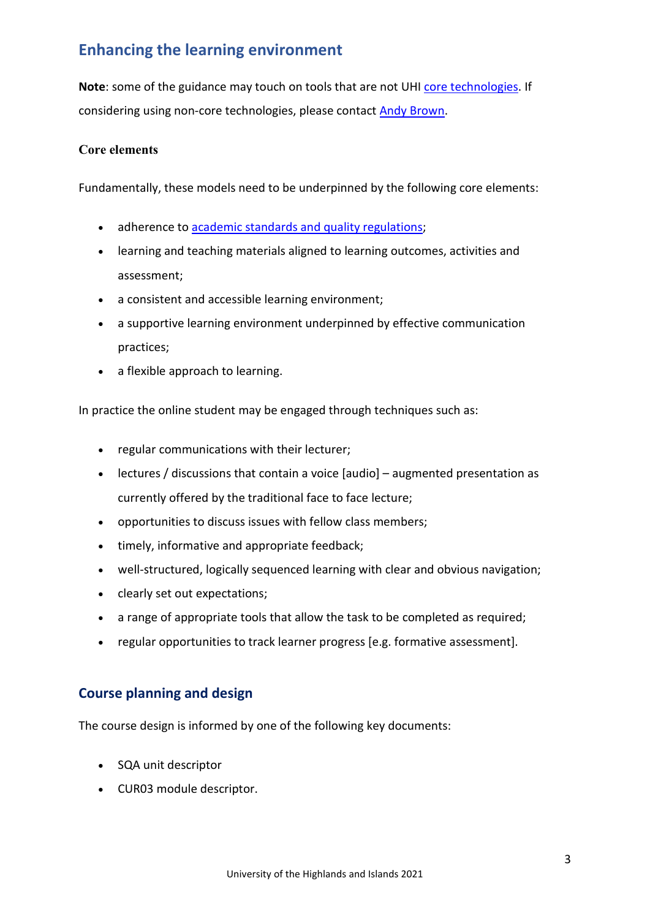Note: some of the guidance may touch on tools that are not UHI [core technologies.](https://myuhi.sharepoint.com/tsr/SitePages/Home.aspx) If considering using non-core technologies, please contact **Andy Brown**.

### **Core elements**

Fundamentally, these models need to be underpinned by the following core elements:

- adherence t[o academic standards and quality regulations;](https://www.uhi.ac.uk/en/about-uhi/governance/policies-and-regulations/regulations)
- learning and teaching materials aligned to learning outcomes, activities and assessment;
- a consistent and accessible learning environment;
- a supportive learning environment underpinned by effective communication practices;
- a flexible approach to learning.

In practice the online student may be engaged through techniques such as:

- regular communications with their lecturer;
- lectures / discussions that contain a voice [audio] augmented presentation as currently offered by the traditional face to face lecture;
- opportunities to discuss issues with fellow class members;
- timely, informative and appropriate feedback;
- well-structured, logically sequenced learning with clear and obvious navigation;
- clearly set out expectations;
- a range of appropriate tools that allow the task to be completed as required;
- regular opportunities to track learner progress [e.g. formative assessment].

### <span id="page-2-0"></span>**Course planning and design**

The course design is informed by one of the following key documents:

- SQA unit descriptor
- CUR03 module descriptor.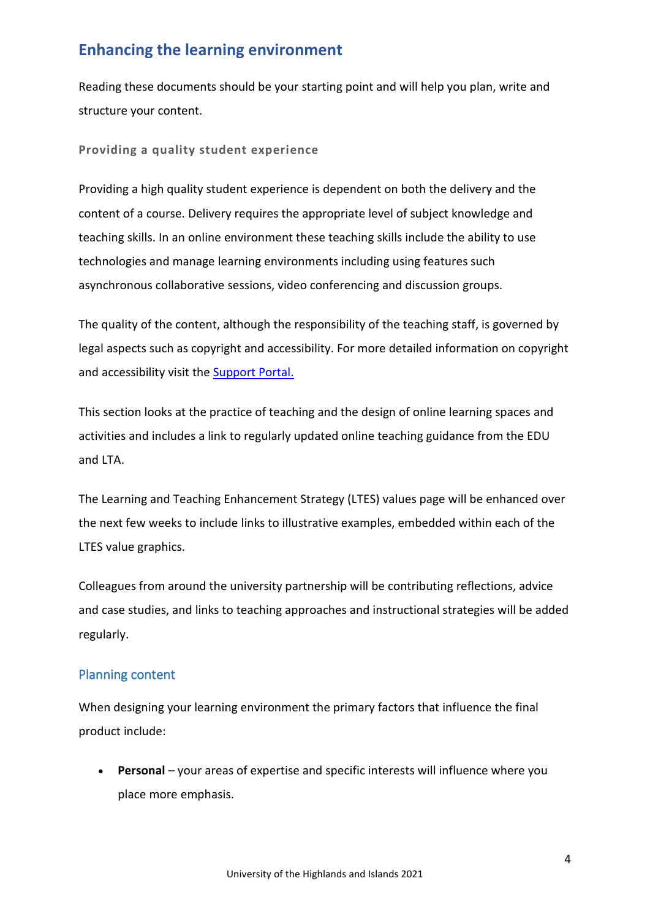Reading these documents should be your starting point and will help you plan, write and structure your content.

**Providing a quality student experience**

Providing a high quality student experience is dependent on both the delivery and the content of a course. Delivery requires the appropriate level of subject knowledge and teaching skills. In an online environment these teaching skills include the ability to use technologies and manage learning environments including using features such asynchronous collaborative sessions, video conferencing and discussion groups.

The quality of the content, although the responsibility of the teaching staff, is governed by legal aspects such as copyright and accessibility. For more detailed information on copyright and accessibility visit the [Support Portal.](http://staffresources.uhi.ac.uk/support_portal/) 

This section looks at the practice of teaching and the design of online learning spaces and activities and includes a link to regularly updated online teaching guidance from the EDU and LTA.

The Learning and Teaching Enhancement Strategy (LTES) values page will be enhanced over the next few weeks to include links to illustrative examples, embedded within each of the LTES value graphics.

Colleagues from around the university partnership will be contributing reflections, advice and case studies, and links to teaching approaches and instructional strategies will be added regularly.

## <span id="page-3-0"></span>Planning content

When designing your learning environment the primary factors that influence the final product include:

• **Personal** – your areas of expertise and specific interests will influence where you place more emphasis.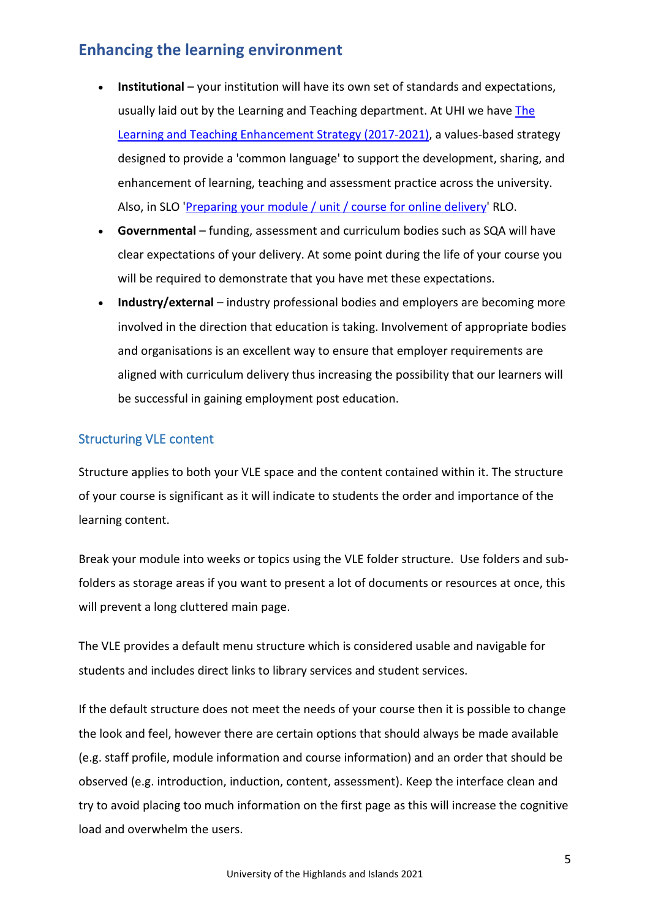- **Institutional** your institution will have its own set of standards and expectations, usually laid out by the Learning and Teaching department. At UHI we have The [Learning and Teaching Enhancement Strategy \(2017-2021\),](https://www.uhi.ac.uk/en/learning-and-teaching-academy/innovation/ltes/) a values-based strategy designed to provide a 'common language' to support the development, sharing, and enhancement of learning, teaching and assessment practice across the university. Also, in SLO ['Preparing your module / unit / course for online delivery'](https://brightspace.uhi.ac.uk/d2l/le/content/176861/viewContent/1076617/View) RLO.
- **Governmental**  funding, assessment and curriculum bodies such as SQA will have clear expectations of your delivery. At some point during the life of your course you will be required to demonstrate that you have met these expectations.
- **Industry/external** industry professional bodies and employers are becoming more involved in the direction that education is taking. Involvement of appropriate bodies and organisations is an excellent way to ensure that employer requirements are aligned with curriculum delivery thus increasing the possibility that our learners will be successful in gaining employment post education.

## <span id="page-4-0"></span>Structuring VLE content

Structure applies to both your VLE space and the content contained within it. The structure of your course is significant as it will indicate to students the order and importance of the learning content.

Break your module into weeks or topics using the VLE folder structure. Use folders and subfolders as storage areas if you want to present a lot of documents or resources at once, this will prevent a long cluttered main page.

The VLE provides a default menu structure which is considered usable and navigable for students and includes direct links to library services and student services.

If the default structure does not meet the needs of your course then it is possible to change the look and feel, however there are certain options that should always be made available (e.g. staff profile, module information and course information) and an order that should be observed (e.g. introduction, induction, content, assessment). Keep the interface clean and try to avoid placing too much information on the first page as this will increase the cognitive load and overwhelm the users.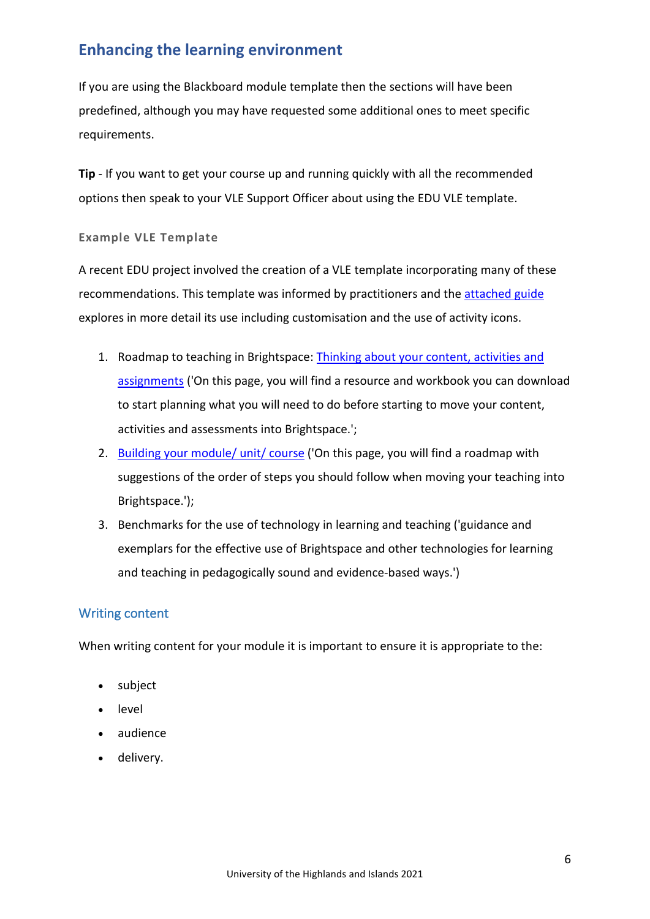If you are using the Blackboard module template then the sections will have been predefined, although you may have requested some additional ones to meet specific requirements.

**Tip** - If you want to get your course up and running quickly with all the recommended options then speak to your VLE Support Officer about using the EDU VLE template.

#### **Example VLE Template**

A recent EDU project involved the creation of a VLE template incorporating many of these recommendations. This template was informed by practitioners and the [attached guide](http://staffresources.uhi.ac.uk/support_portal/resources/vle-mot/Using%20Blackboard%20template.docx) explores in more detail its use including customisation and the use of activity icons.

- 1. Roadmap to teaching in Brightspace: [Thinking about your content, activities and](https://brightspace.uhi.ac.uk/d2l/le/content/176861/viewContent/1052043/View)  [assignments](https://brightspace.uhi.ac.uk/d2l/le/content/176861/viewContent/1052043/View) ('On this page, you will find a resource and workbook you can download to start planning what you will need to do before starting to move your content, activities and assessments into Brightspace.';
- 2. [Building your module/ unit/ course](https://brightspace.uhi.ac.uk/d2l/le/content/176861/viewContent/1056995/View) ('On this page, you will find a roadmap with suggestions of the order of steps you should follow when moving your teaching into Brightspace.');
- 3. Benchmarks for the use of technology in learning and teaching ('guidance and exemplars for the effective use of Brightspace and other technologies for learning and teaching in pedagogically sound and evidence-based ways.')

## <span id="page-5-0"></span>Writing content

When writing content for your module it is important to ensure it is appropriate to the:

- subject
- level
- audience
- delivery.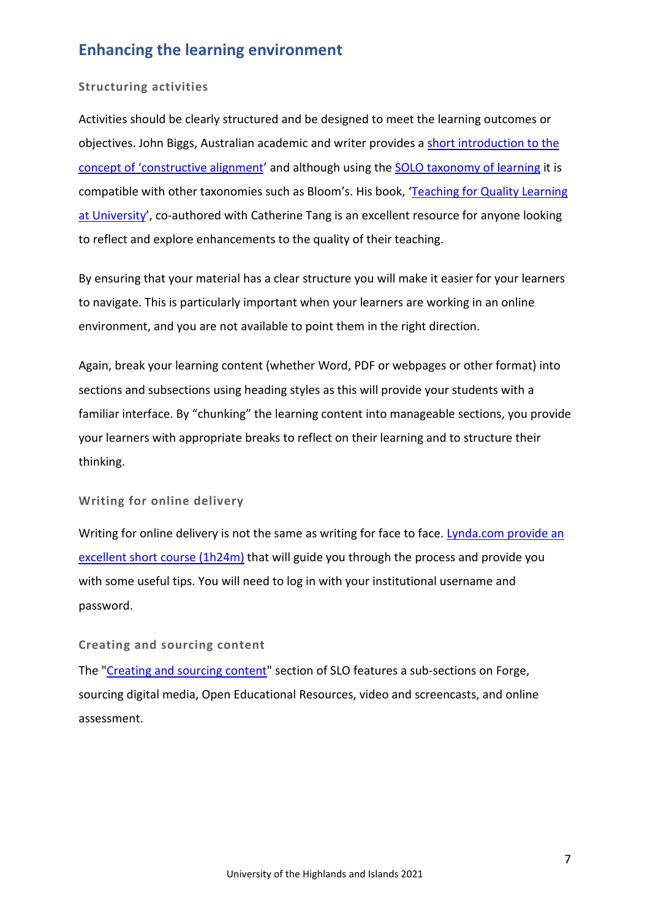#### **Structuring activities**

Activities should be clearly structured and be designed to meet the learning outcomes or objectives. John Biggs, Australian academic and writer provides a [short introduction to the](http://www.johnbiggs.com.au/academic/constructive-alignment/)  [concept of 'constructive alignment'](http://www.johnbiggs.com.au/academic/constructive-alignment/) and although using the [SOLO taxonomy of learning](http://www.johnbiggs.com.au/academic/solo-taxonomy/) it is compatible with other taxonomies such as Bloom's. His book, ['Teaching for Quality Learning](https://www.amazon.co.uk/Teaching-Quality-Learning-University-Education/dp/0335242758/ref=sr_1_2?s=books&ie=UTF8&qid=1325899259&sr=1-2#reader_0335242758)  [at University'](https://www.amazon.co.uk/Teaching-Quality-Learning-University-Education/dp/0335242758/ref=sr_1_2?s=books&ie=UTF8&qid=1325899259&sr=1-2#reader_0335242758), co-authored with Catherine Tang is an excellent resource for anyone looking to reflect and explore enhancements to the quality of their teaching.

By ensuring that your material has a clear structure you will make it easier for your learners to navigate. This is particularly important when your learners are working in an online environment, and you are not available to point them in the right direction.

Again, break your learning content (whether Word, PDF or webpages or other format) into sections and subsections using heading styles as this will provide your students with a familiar interface. By "chunking" the learning content into manageable sections, you provide your learners with appropriate breaks to reflect on their learning and to structure their thinking.

#### **Writing for online delivery**

Writing for online delivery is not the same as writing for face to face. Lynda.com provide an [excellent short course \(1h24m\)](https://www.lynda.com/Web-Content-Strategy-tutorials/Welcome/180104/362233-4.html?srchtrk=index%3a1%0Alinktypeid%3a2%0Aq%3awriting+for+the+web%0Apage%3a1%0As%3arelevance%0Asa%3atrue%0Aproducttypeid%3a2) that will guide you through the process and provide you with some useful tips. You will need to log in with your institutional username and password.

#### **Creating and sourcing content**

The ["Creating and sourcing content"](https://brightspace.uhi.ac.uk/d2l/le/content/176861/Home) section of SLO features a sub-sections on Forge, sourcing digital media, Open Educational Resources, video and screencasts, and online assessment.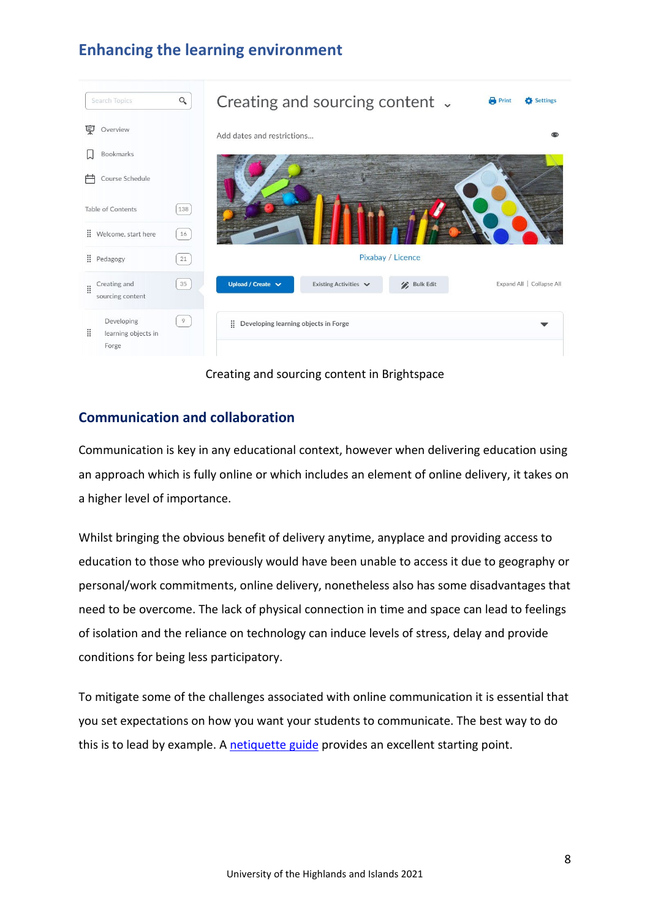

Creating and sourcing content in Brightspace

## <span id="page-7-0"></span>**Communication and collaboration**

Communication is key in any educational context, however when delivering education using an approach which is fully online or which includes an element of online delivery, it takes on a higher level of importance.

Whilst bringing the obvious benefit of delivery anytime, anyplace and providing access to education to those who previously would have been unable to access it due to geography or personal/work commitments, online delivery, nonetheless also has some disadvantages that need to be overcome. The lack of physical connection in time and space can lead to feelings of isolation and the reliance on technology can induce levels of stress, delay and provide conditions for being less participatory.

To mitigate some of the challenges associated with online communication it is essential that you set expectations on how you want your students to communicate. The best way to do this is to lead by example. A [netiquette guide](http://staffresources.uhi.ac.uk/support_portal/resources/enhancing-learning-environment/Virtual-classroom-general-netiquette.docx) provides an excellent starting point.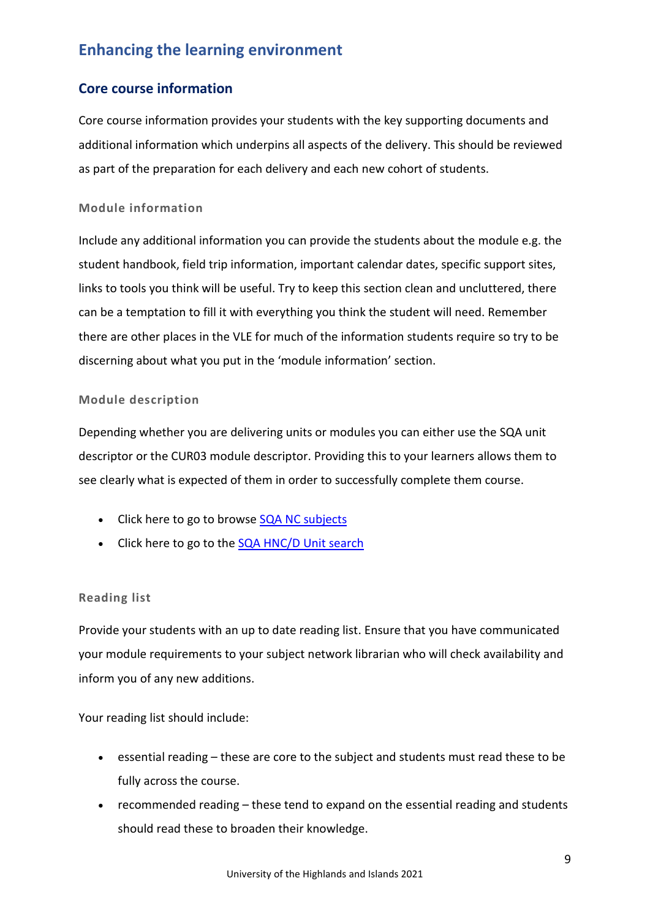## <span id="page-8-0"></span>**Core course information**

Core course information provides your students with the key supporting documents and additional information which underpins all aspects of the delivery. This should be reviewed as part of the preparation for each delivery and each new cohort of students.

### **Module information**

Include any additional information you can provide the students about the module e.g. the student handbook, field trip information, important calendar dates, specific support sites, links to tools you think will be useful. Try to keep this section clean and uncluttered, there can be a temptation to fill it with everything you think the student will need. Remember there are other places in the VLE for much of the information students require so try to be discerning about what you put in the 'module information' section.

#### **Module description**

Depending whether you are delivering units or modules you can either use the SQA unit descriptor or the CUR03 module descriptor. Providing this to your learners allows them to see clearly what is expected of them in order to successfully complete them course.

- Click here to go to browse [SQA NC subjects](http://www.sqa.org.uk/sqa/24071.2549.html)
- Click here to go to the [SQA HNC/D Unit search](http://www.sqa.org.uk/sqa/controller?p_service=Front.searchHN&g=0&t=hn_unit&q=&r=&pContentID=411&pMenuID=117)

#### **Reading list**

Provide your students with an up to date reading list. Ensure that you have communicated your module requirements to your subject network librarian who will check availability and inform you of any new additions.

Your reading list should include:

- essential reading these are core to the subject and students must read these to be fully across the course.
- recommended reading these tend to expand on the essential reading and students should read these to broaden their knowledge.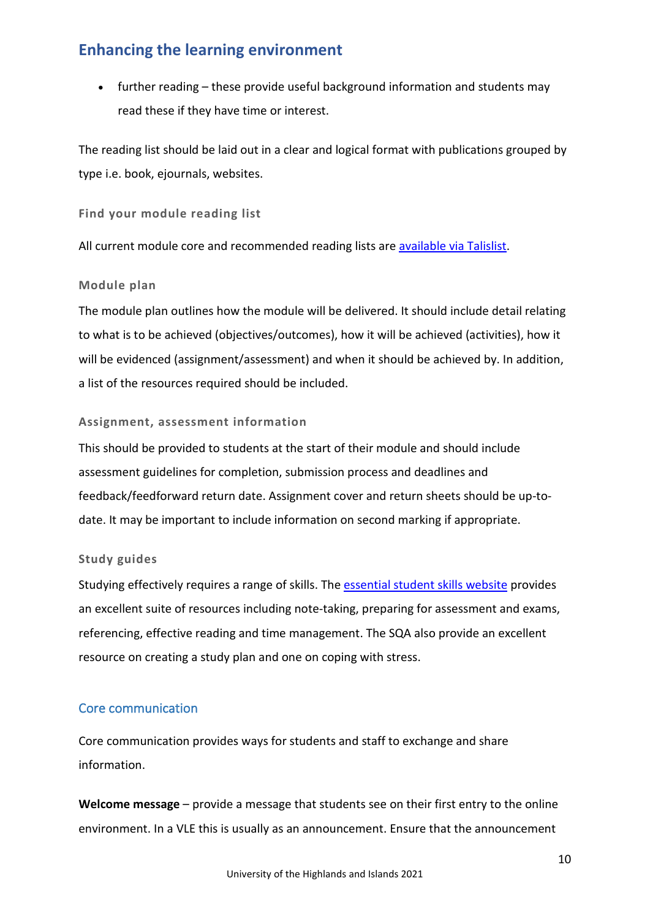• further reading – these provide useful background information and students may read these if they have time or interest.

The reading list should be laid out in a clear and logical format with publications grouped by type i.e. book, ejournals, websites.

**Find your module reading list**

All current module core and recommended reading lists are [available via Talislist.](https://www.uhi.ac.uk/en/t4-media/one-web/university/learning-and-teaching-academy/event-docs/digital-education-week/dew-talis.pdf)

#### **Module plan**

The module plan outlines how the module will be delivered. It should include detail relating to what is to be achieved (objectives/outcomes), how it will be achieved (activities), how it will be evidenced (assignment/assessment) and when it should be achieved by. In addition, a list of the resources required should be included.

#### **Assignment, assessment information**

This should be provided to students at the start of their module and should include assessment guidelines for completion, submission process and deadlines and feedback/feedforward return date. Assignment cover and return sheets should be up-todate. It may be important to include information on second marking if appropriate.

#### **Study guides**

Studying effectively requires a range of skills. The [essential student skills website](http://induction.uhi.ac.uk/) provides an excellent suite of resources including note-taking, preparing for assessment and exams, referencing, effective reading and time management. The SQA also provide an excellent resource on creating a study plan and one on coping with stress.

## <span id="page-9-0"></span>Core communication

Core communication provides ways for students and staff to exchange and share information.

**Welcome message** – provide a message that students see on their first entry to the online environment. In a VLE this is usually as an announcement. Ensure that the announcement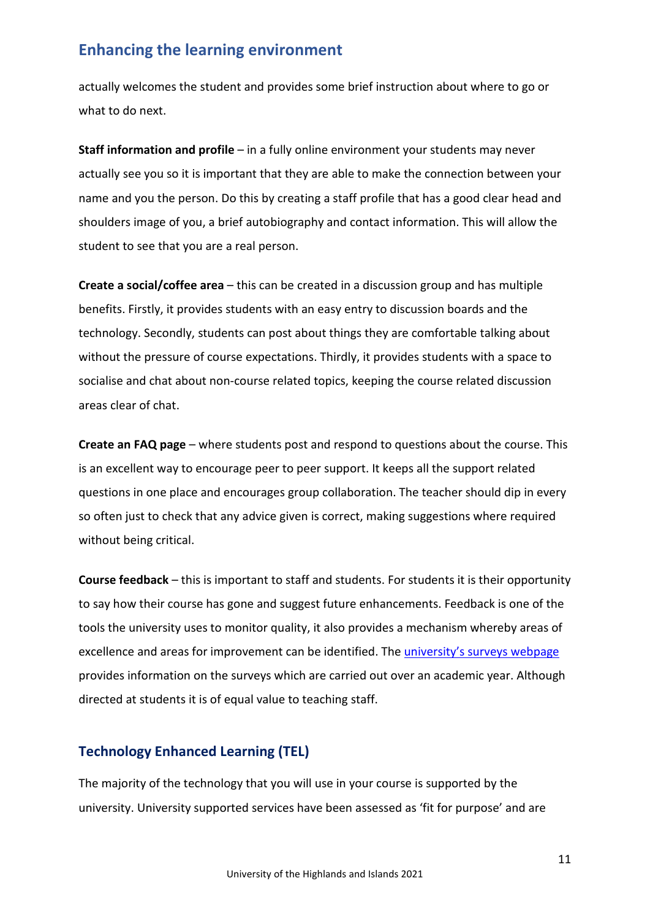actually welcomes the student and provides some brief instruction about where to go or what to do next.

**Staff information and profile** – in a fully online environment your students may never actually see you so it is important that they are able to make the connection between your name and you the person. Do this by creating a staff profile that has a good clear head and shoulders image of you, a brief autobiography and contact information. This will allow the student to see that you are a real person.

**Create a social/coffee area** – this can be created in a discussion group and has multiple benefits. Firstly, it provides students with an easy entry to discussion boards and the technology. Secondly, students can post about things they are comfortable talking about without the pressure of course expectations. Thirdly, it provides students with a space to socialise and chat about non-course related topics, keeping the course related discussion areas clear of chat.

**Create an FAQ page** – where students post and respond to questions about the course. This is an excellent way to encourage peer to peer support. It keeps all the support related questions in one place and encourages group collaboration. The teacher should dip in every so often just to check that any advice given is correct, making suggestions where required without being critical.

**Course feedback** – this is important to staff and students. For students it is their opportunity to say how their course has gone and suggest future enhancements. Feedback is one of the tools the university uses to monitor quality, it also provides a mechanism whereby areas of excellence and areas for improvement can be identified. The [university's surveys webpage](https://www.uhi.ac.uk/en/students/surveys) provides information on the surveys which are carried out over an academic year. Although directed at students it is of equal value to teaching staff.

## <span id="page-10-0"></span>**Technology Enhanced Learning (TEL)**

The majority of the technology that you will use in your course is supported by the university. University supported services have been assessed as 'fit for purpose' and are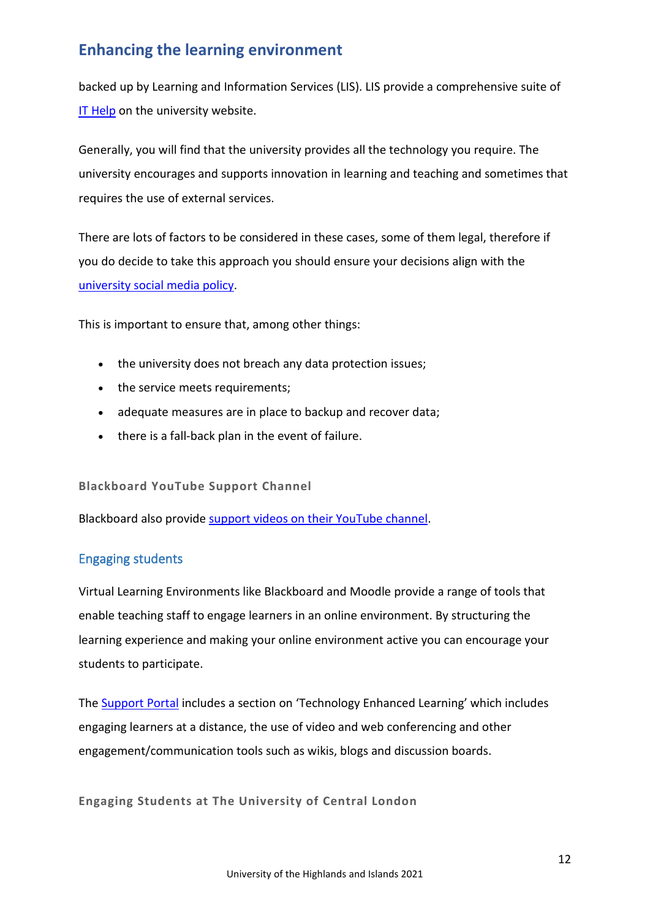backed up by Learning and Information Services (LIS). LIS provide a comprehensive suite of [IT Help](https://www.uhi.ac.uk/en/lis) on the university website.

Generally, you will find that the university provides all the technology you require. The university encourages and supports innovation in learning and teaching and sometimes that requires the use of external services.

There are lots of factors to be considered in these cases, some of them legal, therefore if you do decide to take this approach you should ensure your decisions align with the university social media policy.

This is important to ensure that, among other things:

- the university does not breach any data protection issues;
- the service meets requirements;
- adequate measures are in place to backup and recover data;
- there is a fall-back plan in the event of failure.

#### **Blackboard YouTube Support Channel**

Blackboard also provide [support videos on their YouTube channel.](https://www.youtube.com/playlist?list=PLontYaReEU1tzu1T5gfiX-JQA5nBc3isN)

### <span id="page-11-0"></span>Engaging students

Virtual Learning Environments like Blackboard and Moodle provide a range of tools that enable teaching staff to engage learners in an online environment. By structuring the learning experience and making your online environment active you can encourage your students to participate.

The [Support Portal](http://staffresources.uhi.ac.uk/support_portal/) includes a section on 'Technology Enhanced Learning' which includes engaging learners at a distance, the use of video and web conferencing and other engagement/communication tools such as wikis, blogs and discussion boards.

**Engaging Students at The University of Central London**